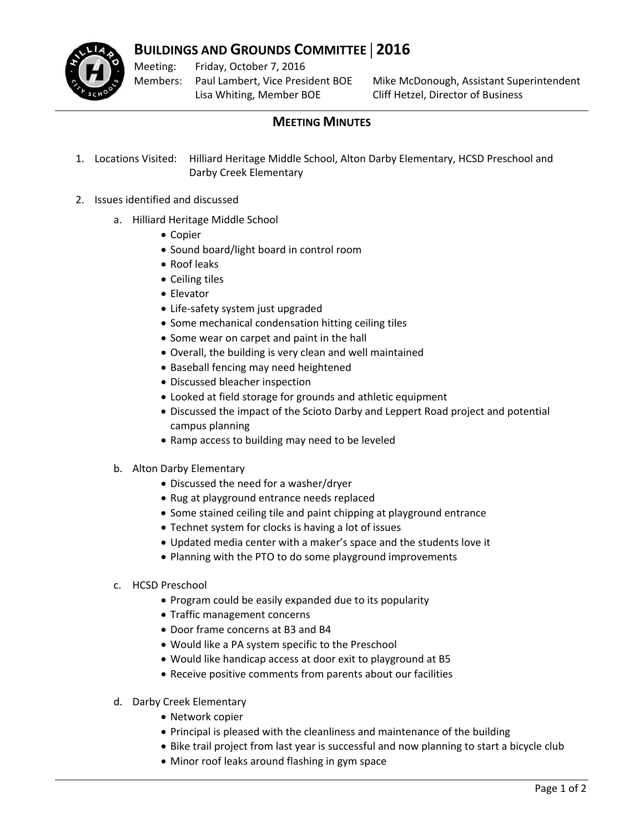

## **BUILDINGS AND GROUNDS COMMITTEE** | **2016**

Meeting: Members: Friday, October 7, 2016 Paul Lambert, Vice President BOE Lisa Whiting, Member BOE

Mike McDonough, Assistant Superintendent Cliff Hetzel, Director of Business

## **MEETING MINUTES**

- 1. Locations Visited: Hilliard Heritage Middle School, Alton Darby Elementary, HCSD Preschool and Darby Creek Elementary
- 2. Issues identified and discussed
	- a. Hilliard Heritage Middle School
		- Copier
		- Sound board/light board in control room
		- Roof leaks
		- Ceiling tiles
		- Elevator
		- Life‐safety system just upgraded
		- Some mechanical condensation hitting ceiling tiles
		- Some wear on carpet and paint in the hall
		- Overall, the building is very clean and well maintained
		- Baseball fencing may need heightened
		- Discussed bleacher inspection
		- Looked at field storage for grounds and athletic equipment
		- Discussed the impact of the Scioto Darby and Leppert Road project and potential campus planning
		- Ramp access to building may need to be leveled
	- b. Alton Darby Elementary
		- Discussed the need for a washer/dryer
		- Rug at playground entrance needs replaced
		- Some stained ceiling tile and paint chipping at playground entrance
		- Technet system for clocks is having a lot of issues
		- Updated media center with a maker's space and the students love it
		- Planning with the PTO to do some playground improvements
	- c. HCSD Preschool
		- Program could be easily expanded due to its popularity
		- Traffic management concerns
		- Door frame concerns at B3 and B4
		- Would like a PA system specific to the Preschool
		- Would like handicap access at door exit to playground at B5
		- Receive positive comments from parents about our facilities
	- d. Darby Creek Elementary
		- Network copier
		- Principal is pleased with the cleanliness and maintenance of the building
		- Bike trail project from last year is successful and now planning to start a bicycle club
		- Minor roof leaks around flashing in gym space